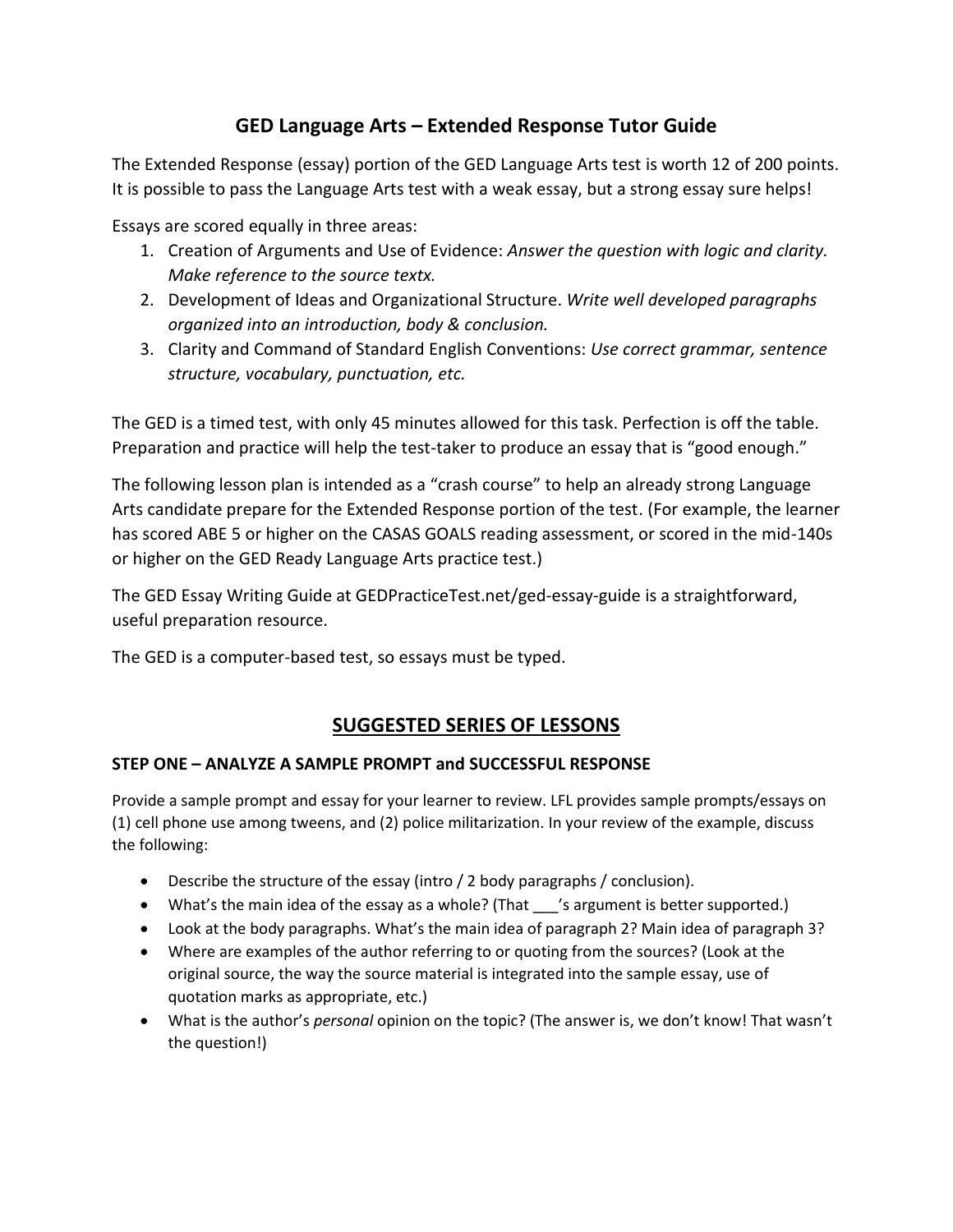# **GED Language Arts – Extended Response Tutor Guide**

The Extended Response (essay) portion of the GED Language Arts test is worth 12 of 200 points. It is possible to pass the Language Arts test with a weak essay, but a strong essay sure helps!

Essays are scored equally in three areas:

- 1. Creation of Arguments and Use of Evidence: *Answer the question with logic and clarity. Make reference to the source textx.*
- 2. Development of Ideas and Organizational Structure. *Write well developed paragraphs organized into an introduction, body & conclusion.*
- 3. Clarity and Command of Standard English Conventions: *Use correct grammar, sentence structure, vocabulary, punctuation, etc.*

The GED is a timed test, with only 45 minutes allowed for this task. Perfection is off the table. Preparation and practice will help the test-taker to produce an essay that is "good enough."

The following lesson plan is intended as a "crash course" to help an already strong Language Arts candidate prepare for the Extended Response portion of the test. (For example, the learner has scored ABE 5 or higher on the CASAS GOALS reading assessment, or scored in the mid-140s or higher on the GED Ready Language Arts practice test.)

The GED Essay Writing Guide at GEDPracticeTest.net/ged-essay-guide is a straightforward, useful preparation resource.

The GED is a computer-based test, so essays must be typed.

# **SUGGESTED SERIES OF LESSONS**

## **STEP ONE – ANALYZE A SAMPLE PROMPT and SUCCESSFUL RESPONSE**

Provide a sample prompt and essay for your learner to review. LFL provides sample prompts/essays on (1) cell phone use among tweens, and (2) police militarization. In your review of the example, discuss the following:

- Describe the structure of the essay (intro / 2 body paragraphs / conclusion).
- What's the main idea of the essay as a whole? (That 's argument is better supported.)
- Look at the body paragraphs. What's the main idea of paragraph 2? Main idea of paragraph 3?
- Where are examples of the author referring to or quoting from the sources? (Look at the original source, the way the source material is integrated into the sample essay, use of quotation marks as appropriate, etc.)
- What is the author's *personal* opinion on the topic? (The answer is, we don't know! That wasn't the question!)